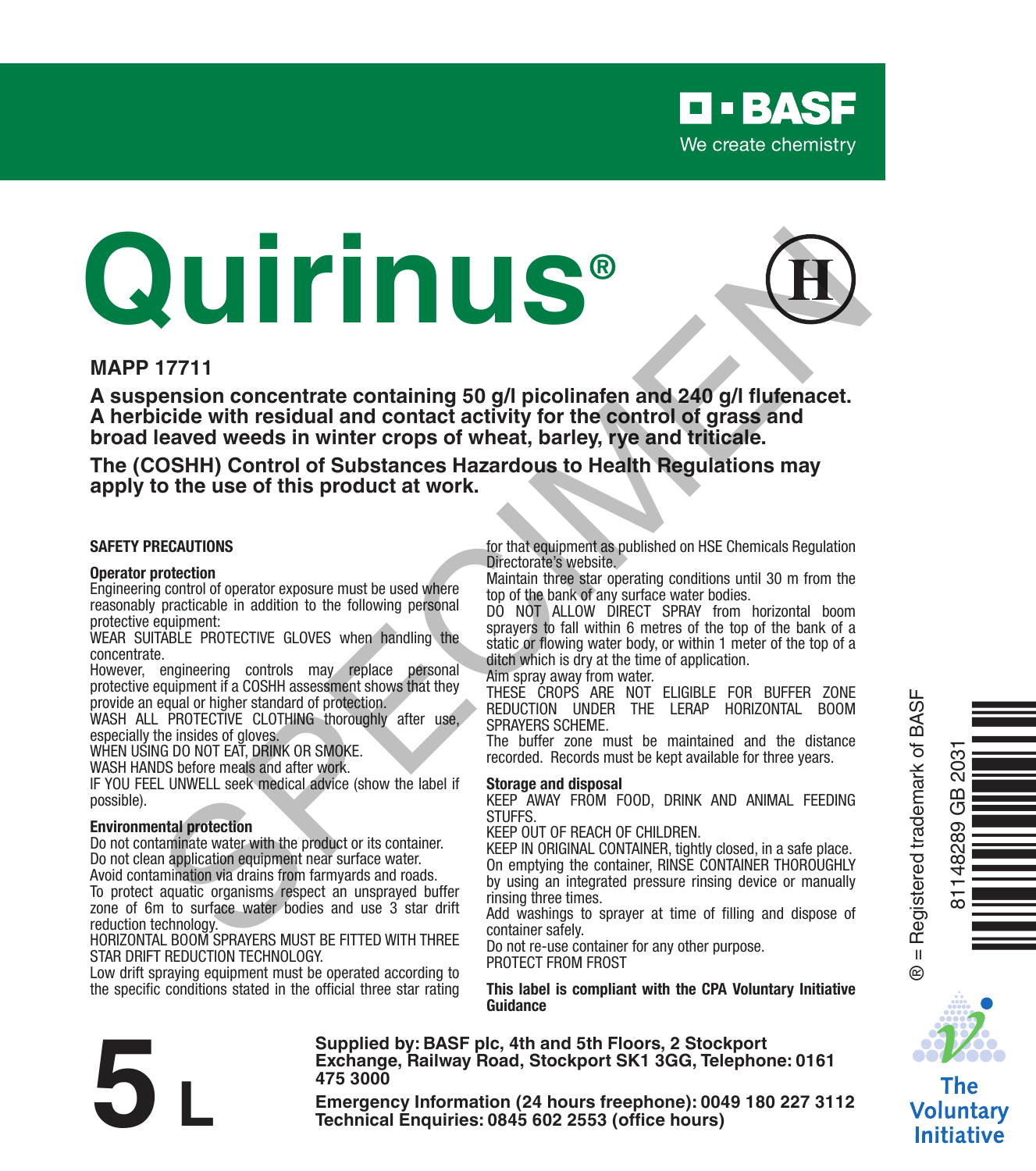

# **Quirinus®** THE THIS content and a state of the state of the state of the state of the state of the state of the state of the state of the state of the state of the state of the state of the state of the state of the state of the stat



### **MAPP 17711**

**A suspension concentrate containing 50 g/l picolinafen and 240 g/l flufenacet. A herbicide with residual and contact activity for the control of grass and broad leaved weeds in winter crops of wheat, barley, rye and triticale.**

**The (COSHH) Control of Substances Hazardous to Health Regulations may apply to the use of this product at work.**

### **SAFETY PRECAUTIONS**

### **Operator protection**

Engineering control of operator exposure must be used where reasonably practicable in addition to the following personal protective equipment:

WEAR SUITABLE PROTECTIVE GLOVES when handling the concentrate.

However, engineering controls may replace personal protective equipment if a COSHH assessment shows that they

provide an equal or higher standard of protection. WASH ALL PROTECTIVE CLOTHING thoroughly after use, especially the insides of gloves.

WHEN USING DO NOT FAT, DRINK OR SMOKE.

WASH HANDS before meals and after work.

IF YOU FEEL UNWELL seek medical advice (show the label if possible).

### **Environmental protection**

Do not contaminate water with the product or its container. Do not clean application equipment near surface water. Avoid contamination via drains from farmyards and roads.

To protect aquatic organisms respect an unsprayed buffer zone of 6m to surface water bodies and use 3 star drift reduction technology.

HORIZONTAL BOOM SPRAYERS MUST BE FITTED WITH THREE STAR DRIFT REDUCTION TECHNOLOGY.

Low drift spraying equipment must be operated according to the specific conditions stated in the official three star rating for that equipment as published on HSE Chemicals Regulation Directorate's website.

Maintain three star operating conditions until 30 m from the top of the bank of any surface water bodies.

DO NOT ALLOW DIRECT SPRAY from horizontal boom sprayers to fall within 6 metres of the top of the bank of a static or flowing water body, or within 1 meter of the top of a ditch which is dry at the time of application.

Aim spray away from water.

THESE CROPS ARE NOT ELIGIBLE FOR BUFFER ZONE REDUCTION UNDER THE LERAP HORIZONTAL BOOM SPRAYERS SCHEME.

The buffer zone must be maintained and the distance recorded. Records must be kept available for three years.

### **Storage and disposal**

**Supplied by: BASF plc, 4th and 5th Floors, 2 Stockport** 

KEEP AWAY FROM FOOD, DRINK AND ANIMAL FEEDING **STUFFS** 

KEEP OUT OF REACH OF CHILDREN.

KEEP IN ORIGINAL CONTAINER, tightly closed, in a safe place. On emptying the container, RINSE CONTAINER THOROUGHLY by using an integrated pressure rinsing device or manually rinsing three times.

Add washings to sprayer at time of filling and dispose of container safely.

Do not re-use container for any other purpose. PROTECT FROM FROST

**This label is compliant with the CPA Voluntary Initiative Guidance**



Ò<br>Na mara ta ann an Sàrtacach<br>Èòrain

® = Registered trademark of BASF

 $^{\circ}$ 

81148289 GB 2031

δű GB 48289

The Voluntary **Initiative** 

Exchange, Railway Road, Stockport SK1 3GG, Telephone: 0161<br>
475 3000<br>
Emergency Information (24 hours freephone): 0049 180 227 3112<br>
Technical Enquiries: 0845 602 2553 (office hours) **475 3000**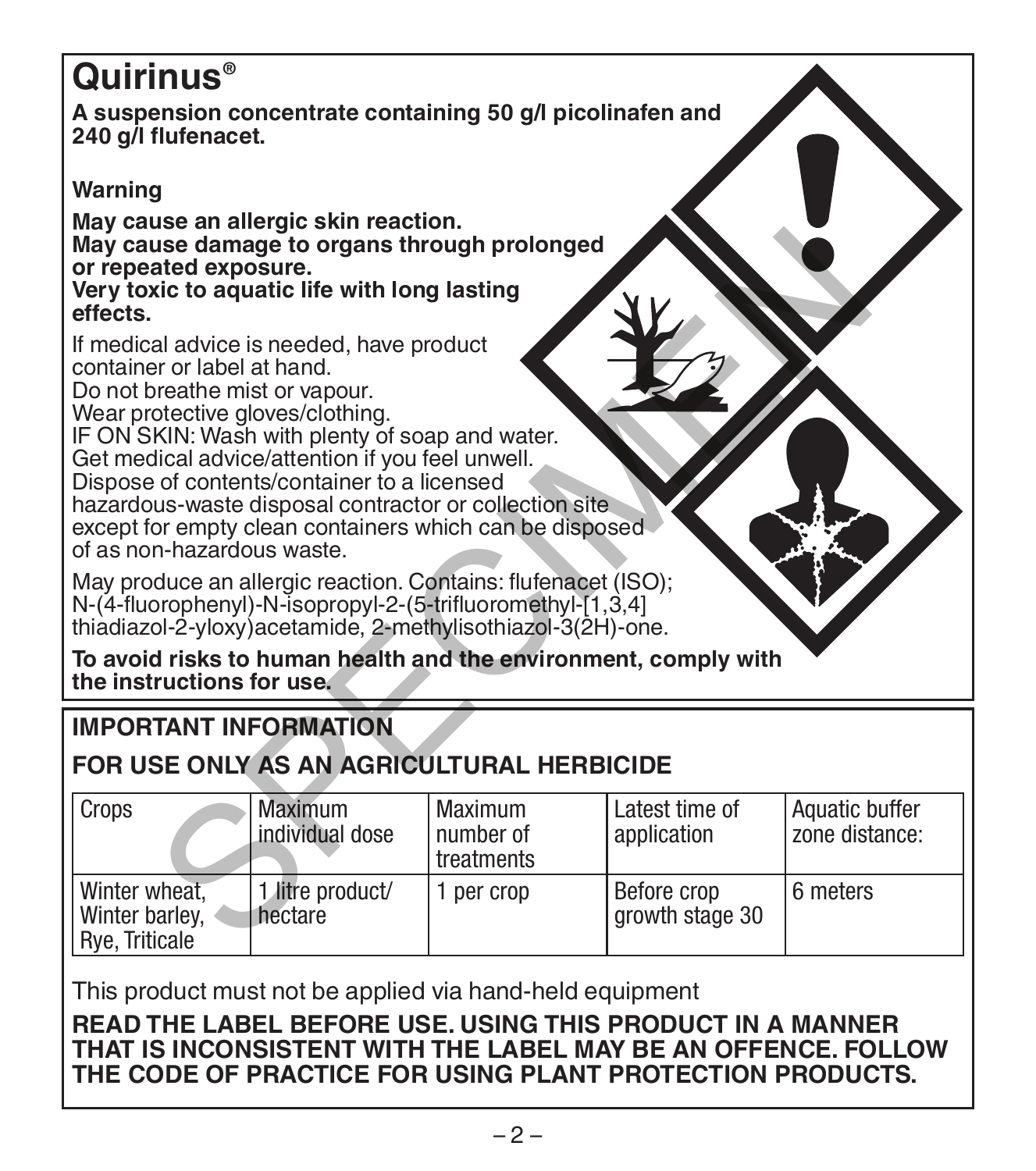# **Quirinus®**

**A suspension concentrate containing 50 g/l picolinafen and 240 g/l flufenacet.** 

# **Warning**

**May cause an allergic skin reaction. May cause damage to organs through prolonged or repeated exposure.**

# **IMPORTANT INFORMATION**

# **FOR USE ONLY AS AN AGRICULTURAL HERBICIDE**

| May cause damage to organs through prolonged<br>or repeated exposure.<br>Very toxic to aquatic life with long lasting<br>effects.                                                                                                                                                                                                                                                                                                                       |                                   |                                    |                                |                                  |  |  |
|---------------------------------------------------------------------------------------------------------------------------------------------------------------------------------------------------------------------------------------------------------------------------------------------------------------------------------------------------------------------------------------------------------------------------------------------------------|-----------------------------------|------------------------------------|--------------------------------|----------------------------------|--|--|
| If medical advice is needed, have product<br>container or label at hand.<br>Do not breathe mist or vapour.<br>Wear protective gloves/clothing.<br>IF ON SKIN: Wash with plenty of soap and water.<br>Get medical advice/attention if you feel unwell.<br>Dispose of contents/container to a licensed<br>hazardous-waste disposal contractor or collection site<br>except for empty clean containers which can be disposed<br>of as non-hazardous waste. |                                   |                                    |                                |                                  |  |  |
| May produce an allergic reaction. Contains: flufenacet (ISO);<br>N-(4-fluorophenyl)-N-isopropyl-2-(5-trifluoromethyl-[1,3,4]<br>thiadiazol-2-yloxy) acetamide, 2-methylisothiazol-3(2H)-one.                                                                                                                                                                                                                                                            |                                   |                                    |                                |                                  |  |  |
| To avoid risks to human health and the environment, comply with<br>the instructions for use.                                                                                                                                                                                                                                                                                                                                                            |                                   |                                    |                                |                                  |  |  |
| <b>IMPORTANT INFORMATION</b>                                                                                                                                                                                                                                                                                                                                                                                                                            |                                   |                                    |                                |                                  |  |  |
| FOR USE ONLY AS AN AGRICULTURAL HERBICIDE                                                                                                                                                                                                                                                                                                                                                                                                               |                                   |                                    |                                |                                  |  |  |
| Crops                                                                                                                                                                                                                                                                                                                                                                                                                                                   | <b>Maximum</b><br>individual dose | Maximum<br>number of<br>treatments | Latest time of<br>application  | Aquatic buffer<br>zone distance: |  |  |
| Winter wheat,<br>Winter barley,<br>Rye, Triticale                                                                                                                                                                                                                                                                                                                                                                                                       | 1 litre product/<br>hectare       | 1 per crop                         | Before crop<br>growth stage 30 | 6 meters                         |  |  |

This product must not be applied via hand-held equipment

**READ THE LABEL BEFORE USE. USING THIS PRODUCT IN A MANNER THAT IS INCONSISTENT WITH THE LABEL MAY BE AN OFFENCE. FOLLOW THE CODE OF PRACTICE FOR USING PLANT PROTECTION PRODUCTS.**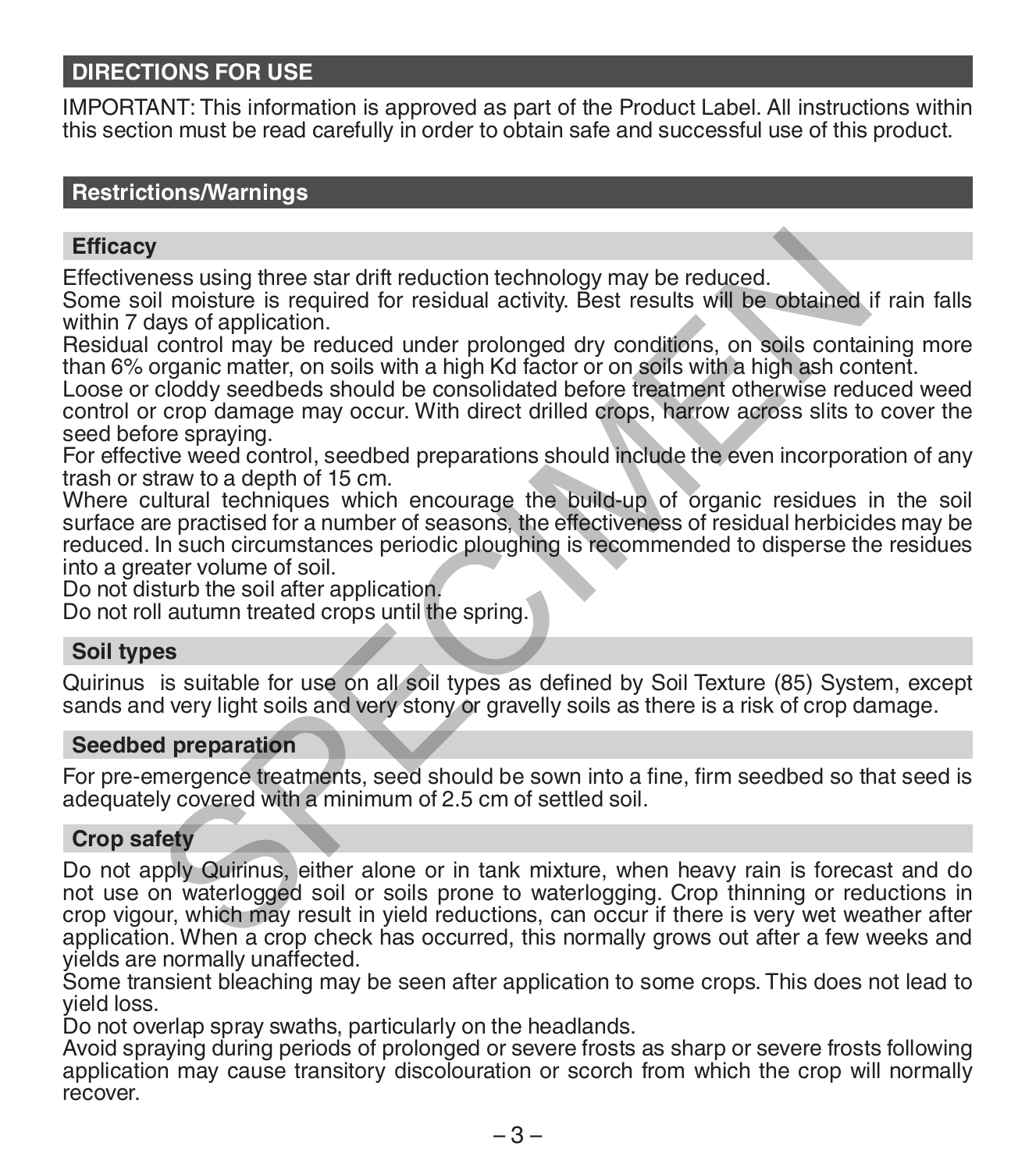## **DIRECTIONS FOR USE**

IMPORTANT: This information is approved as part of the Product Label. All instructions within this section must be read carefully in order to obtain safe and successful use of this product.

### **Restrictions/Warnings**

### **Efficacy**

Effectiveness using three star drift reduction technology may be reduced.

Some soil moisture is required for residual activity. Best results will be obtained if rain falls within 7 days of application.

Residual control may be reduced under prolonged dry conditions, on soils containing more than 6% organic matter, on soils with a high Kd factor or on soils with a high ash content.

Loose or cloddy seedbeds should be consolidated before treatment otherwise reduced weed control or crop damage may occur. With direct drilled crops, harrow across slits to cover the seed before spraying.

For effective weed control, seedbed preparations should include the even incorporation of any<br>trash or straw to a depth of 15 cm.

Where cultural techniques which encourage the build-up of organic residues in the soil surface are practised for a number of seasons, the effectiveness of residual herbicides may be reduced. In such circumstances periodic ploughing is recommended to disperse the residues into a greater volume of soil. In moisture is required for the main endependent many results will be obtained<br>if moisture is required for residual activity. Best results will be obtained<br>control may be reduced under prolonged dry conditions, on soils co

Do not disturb the soil after application.

Do not roll autumn treated crops until the spring.

### **Soil types**

Quirinus is suitable for use on all soil types as defined by Soil Texture (85) System, except sands and very light soils and very stony or gravelly soils as there is a risk of crop damage.

### **Seedbed preparation**

For pre-emergence treatments, seed should be sown into a fine, firm seedbed so that seed is adequately covered with a minimum of 2.5 cm of settled soil.

### **Crop safety**

Do not apply Quirinus, either alone or in tank mixture, when heavy rain is forecast and do not use on waterlogged soil or soils prone to waterlogging. Crop thinning or reductions in crop vigour, which may result in yield reductions, can occur if there is very wet weather after application. When a crop check has occurred, this normally grows out after a few weeks and yields are normally unaffected.

Some transient bleaching may be seen after application to some crops. This does not lead to yield loss.

Do not overlap spray swaths, particularly on the headlands.

Avoid spraying during periods of prolonged or severe frosts as sharp or severe frosts following application may cause transitory discolouration or scorch from which the crop will normally recover.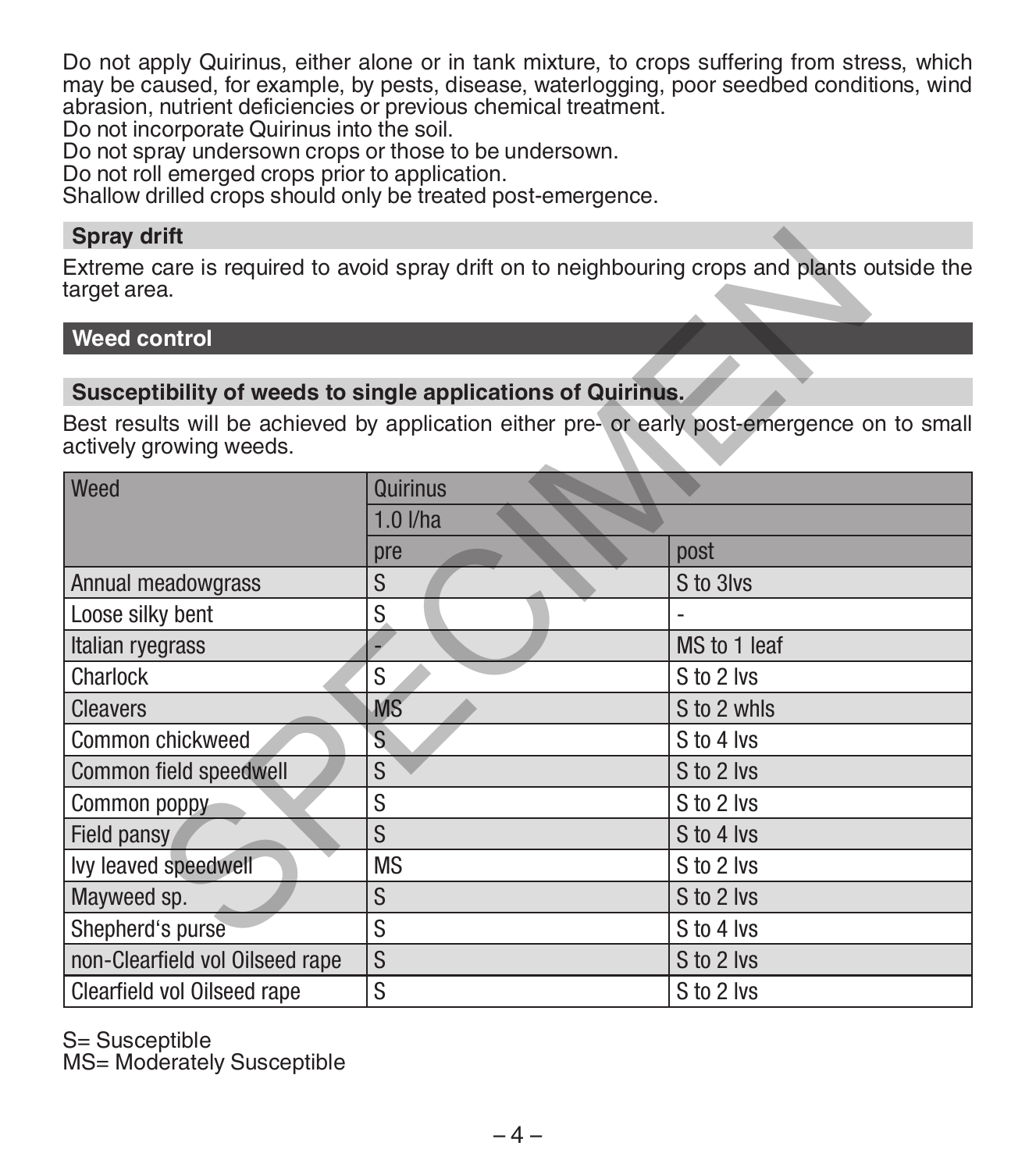Do not apply Quirinus, either alone or in tank mixture, to crops suffering from stress, which may be caused, for example, by pests, disease, waterlogging, poor seedbed conditions, wind abrasion, nutrient deficiencies or previous chemical treatment.

Do not incorporate Quirinus into the soil.

Do not spray undersown crops or those to be undersown.

Do not roll emerged crops prior to application.

Shallow drilled crops should only be treated post-emergence.

### **Spray drift**

# **Weed control**

### **Susceptibility of weeds to single applications of Quirinus.**

| <b>Spray drift</b>                                          |            |                                                                                               |  |  |  |
|-------------------------------------------------------------|------------|-----------------------------------------------------------------------------------------------|--|--|--|
| target area.                                                |            | Extreme care is required to avoid spray drift on to neighbouring crops and plants outside the |  |  |  |
| Weed control                                                |            |                                                                                               |  |  |  |
|                                                             |            |                                                                                               |  |  |  |
| Susceptibility of weeds to single applications of Quirinus. |            |                                                                                               |  |  |  |
| actively growing weeds.                                     |            | Best results will be achieved by application either pre- or early post-emergence on to small  |  |  |  |
| Weed                                                        | Quirinus   |                                                                                               |  |  |  |
|                                                             | $1.0$ I/ha |                                                                                               |  |  |  |
|                                                             | pre        | post                                                                                          |  |  |  |
| Annual meadowgrass                                          | S          | S to 3lvs                                                                                     |  |  |  |
| Loose silky bent                                            | S          |                                                                                               |  |  |  |
| Italian ryegrass                                            |            | MS to 1 leaf                                                                                  |  |  |  |
| Charlock                                                    | S          | S to 2 lvs                                                                                    |  |  |  |
| <b>Cleavers</b>                                             | <b>MS</b>  | S to 2 whls                                                                                   |  |  |  |
| Common chickweed                                            | S          | S to 4 lvs                                                                                    |  |  |  |
| Common field speedwell                                      | S          | S to 2 lvs                                                                                    |  |  |  |
| Common poppy                                                | S          | S to 2 lvs                                                                                    |  |  |  |
| Field pansy                                                 | S          | S to 4 lvs                                                                                    |  |  |  |
| lvy leaved speedwell                                        | MS         | S to 2 lvs                                                                                    |  |  |  |
| Mayweed sp.                                                 | S          | S to 2 lvs                                                                                    |  |  |  |
| Shepherd's purse                                            | S          | S to 4 lvs                                                                                    |  |  |  |
| non-Clearfield vol Oilseed rape                             | S          | S to 2 lvs                                                                                    |  |  |  |
| Clearfield vol Oilseed rape                                 | S          | S to 2 lvs                                                                                    |  |  |  |

S= Susceptible

MS= Moderately Susceptible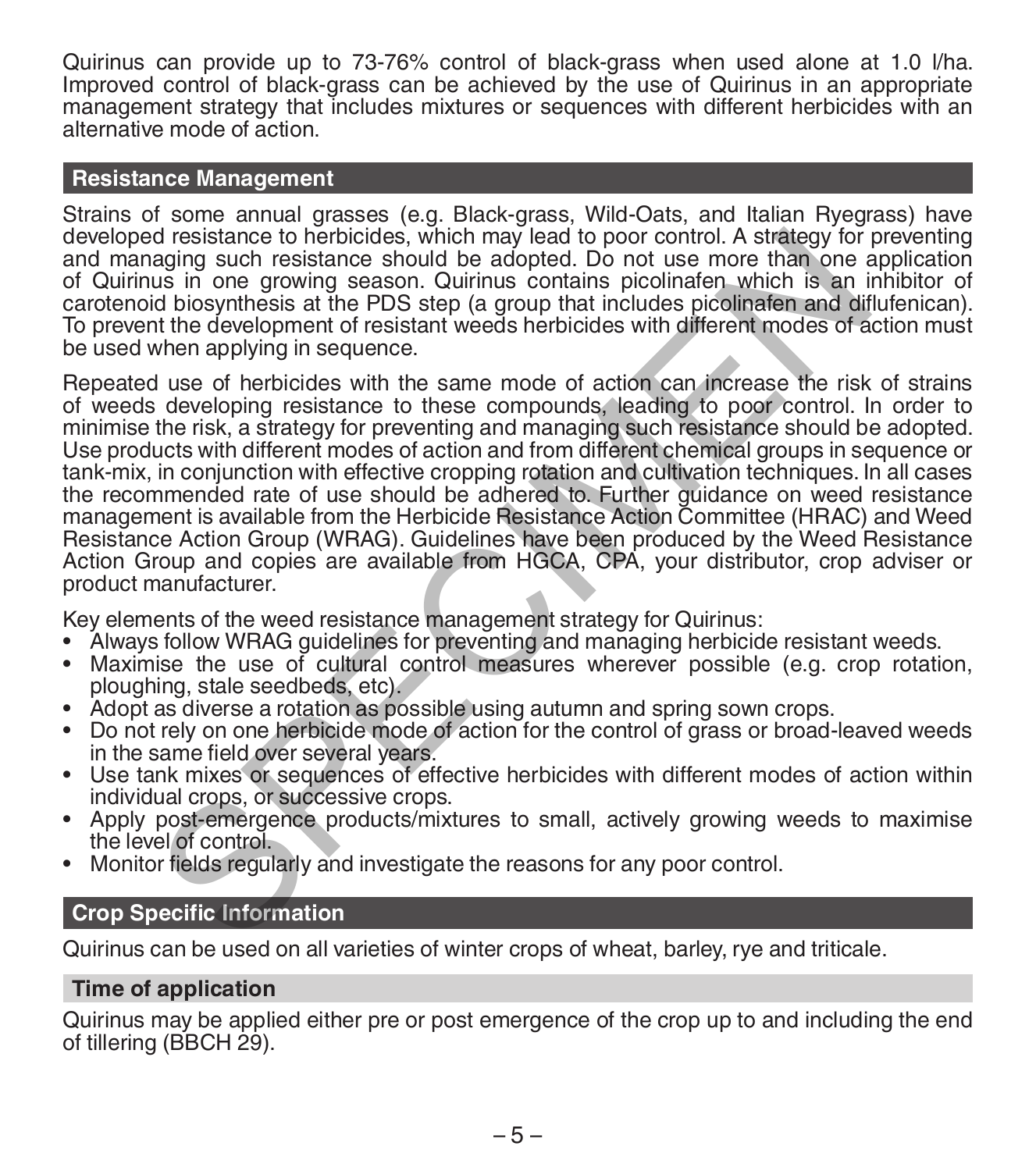Quirinus can provide up to 73-76% control of black-grass when used alone at 1.0 l/ha. Improved control of black-grass can be achieved by the use of Quirinus in an appropriate management strategy that includes mixtures or sequences with different herbicides with an alternative mode of action.

### **Resistance Management**

Strains of some annual grasses (e.g. Black-grass, Wild-Oats, and Italian Ryegrass) have developed resistance to herbicides, which may lead to poor control. A strategy for preventing and managing such resistance should be adopted. Do not use more than one application of Quirinus in one growing season. Quirinus contains picolinafen which is an inhibitor of carotenoid biosynthesis at the PDS step (a group that includes picolinafen and diflufenican). To prevent the development of resistant weeds herbicides with different modes of action must be used when applying in sequence.

Repeated use of herbicides with the same mode of action can increase the risk of strains of weeds developing resistance to these compounds, leading to poor control. In order to minimise the risk, a strategy for preventing and managing such resistance should be adopted. Use products with different modes of action and from different chemical groups in sequence or tank-mix, in conjunction with effective cropping rotation and cultivation techniques. In all cases the recommended rate of use should be adhered to. Further guidance on weed resistance management is available from the Herbicide Resistance Action Committee (HRAC) and Weed Resistance Action Group (WRAG). Guidelines have been produced by the Weed Resistance Action Group and copies are available from HGCA, CPA, your distributor, crop adviser or product manufacturer. d resistance to herbicides, which may lead to poor control. A strategy for the adopted in partial and disoparties at the PDS step (a group that inducts picclimaten which is an is in one growing season. Quirinus contains pi

Key elements of the weed resistance management strategy for Quirinus:

- Always follow WRAG guidelines for preventing and managing herbicide resistant weeds.
- Maximise the use of cultural control measures wherever possible (e.g. crop rotation, ploughing, stale seedbeds, etc).
- Adopt as diverse a rotation as possible using autumn and spring sown crops.
- Do not rely on one herbicide mode of action for the control of grass or broad-leaved weeds in the same field over several years.
- Use tank mixes or sequences of effective herbicides with different modes of action within
- Apply post-emergence products/mixtures to small, actively growing weeds to maximise the level of control
- Monitor fields regularly and investigate the reasons for any poor control.

### **Crop Specific Information**

Quirinus can be used on all varieties of winter crops of wheat, barley, rye and triticale.

### **Time of application**

Quirinus may be applied either pre or post emergence of the crop up to and including the end of tillering (BBCH 29).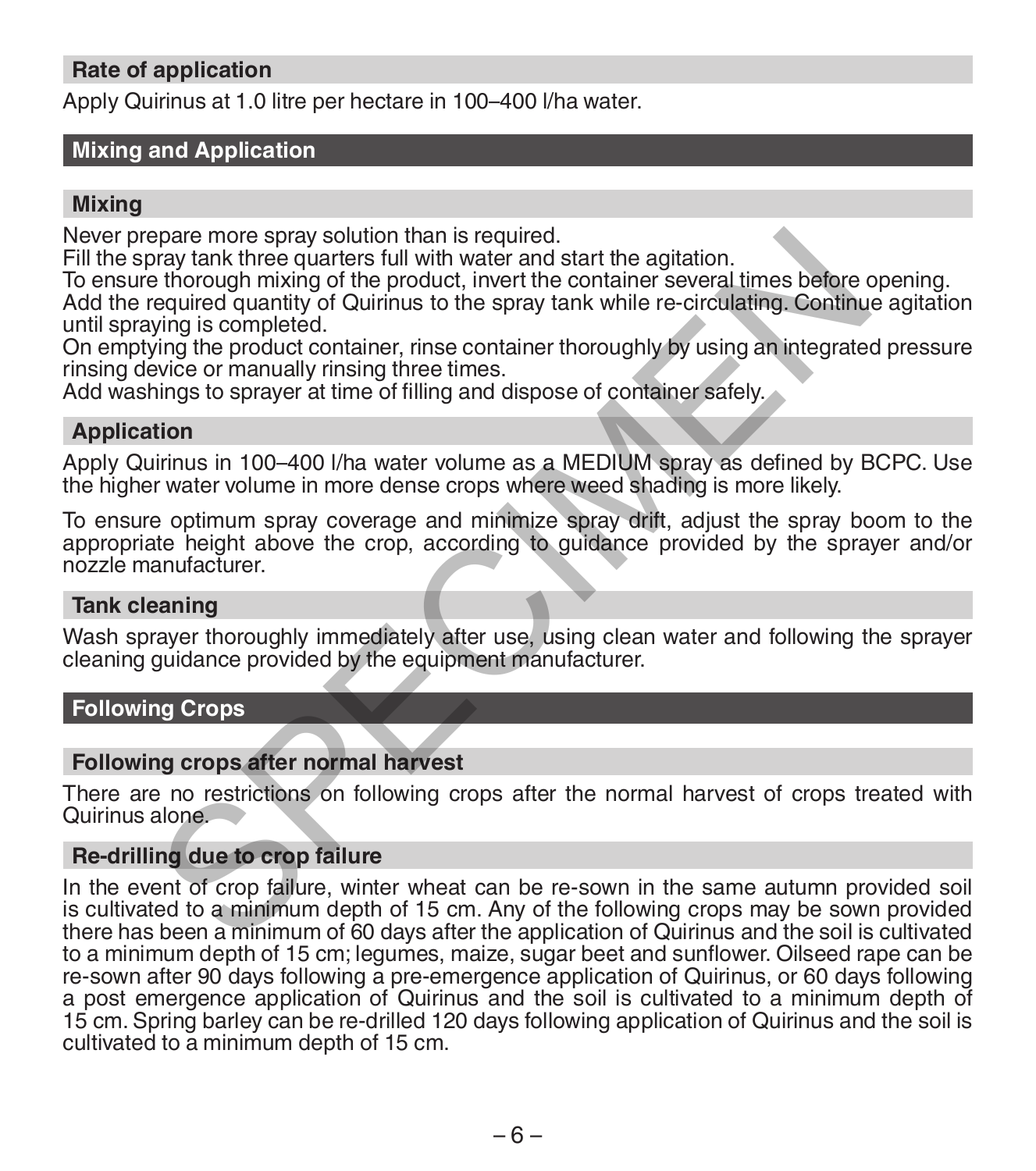## **Rate of application**

Apply Quirinus at 1.0 litre per hectare in 100–400 l/ha water.

## **Mixing and Application**

### **Mixing**

Never prepare more spray solution than is required.

Fill the spray tank three quarters full with water and start the agitation.

To ensure thorough mixing of the product, invert the container several times before opening. Add the required quantity of Quirinus to the spray tank while re-circulating. Continue agitation

until spraying is completed.

On emptying the product container, rinse container thoroughly by using an integrated pressure rinsing device or manually rinsing three times.

Add washings to sprayer at time of filling and dispose of container safely.

### **Application**

Apply Quirinus in 100–400 l/ha water volume as a MEDIUM spray as defined by BCPC. Use the higher water volume in more dense crops where weed shading is more likely.

To ensure optimum spray coverage and minimize spray drift, adjust the spray boom to the appropriate height above the crop, according to guidance provided by the sprayer and/or nozzle manufacturer.

### **Tank cleaning**

Wash sprayer thoroughly immediately after use, using clean water and following the sprayer cleaning guidance provided by the equipment manufacturer.

### **Following Crops**

### **Following crops after normal harvest**

There are no restrictions on following crops after the normal harvest of crops treated with Quirinus alone.

### **Re-drilling due to crop failure**

In the event of crop failure, winter wheat can be re-sown in the same autumn provided soil is cultivated to a minimum depth of 15 cm. Any of the following crops may be sown provided there has been a minimum of 60 days after the application of Quirinus and the soil is cultivated to a minimum depth of 15 cm; legumes, maize, sugar beet and sunflower. Oilseed rape can be re-sown after 90 days following a pre-emergence application of Quirinus, or 60 days following a post emergence application of Quirinus and the soil is cultivated to a minimum depth of 15 cm. Spring barley can be re-drilled 120 days following application of Quirinus and the soil is cultivated to a minimum depth of 15 cm. pare more spray solution than is required.<br>They are more spray solution than is required to the spray tank three quarters full with water and start the agitation.<br>
Bequalized quarity of Quirinus to the spray tank while re-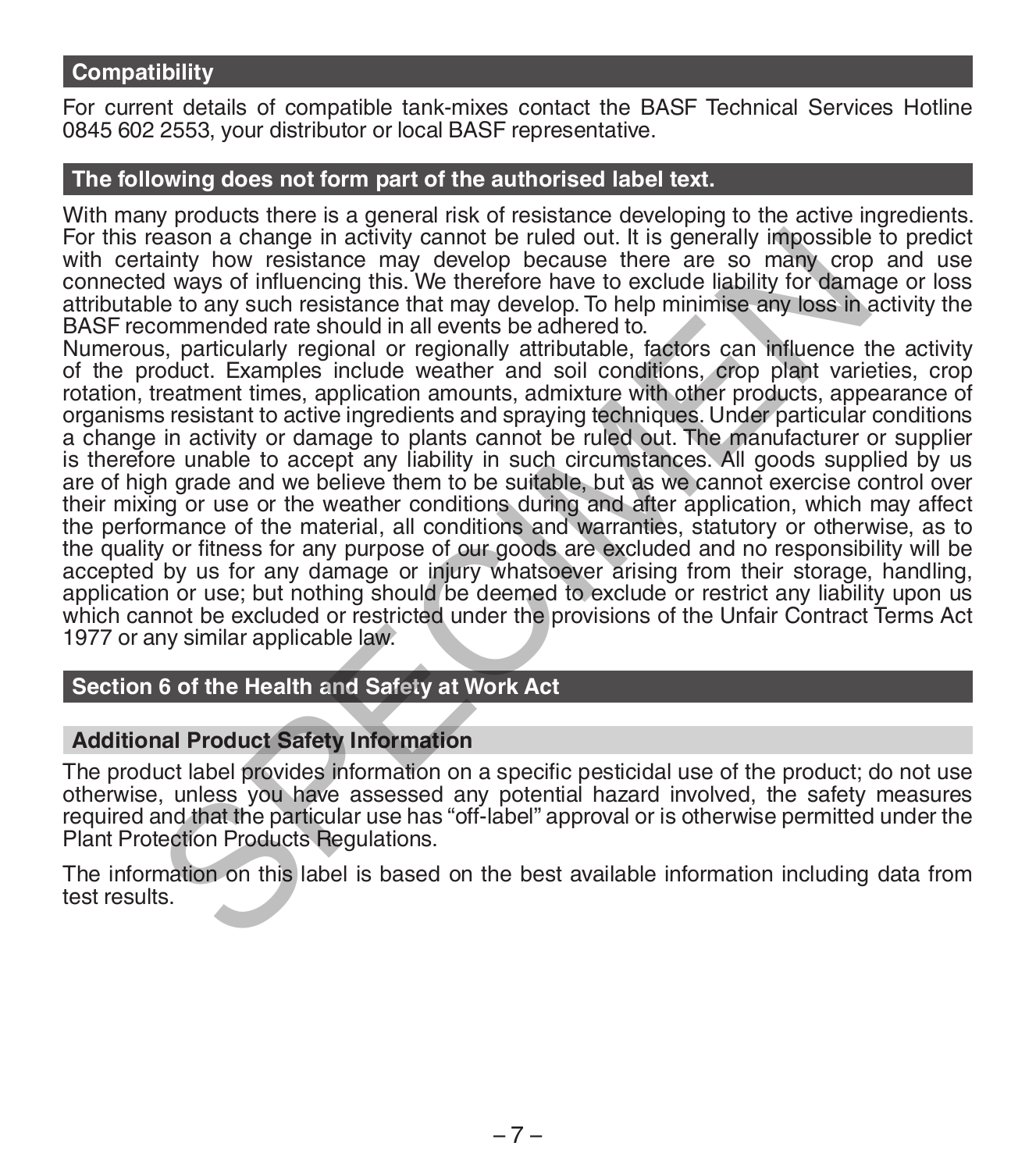### **Compatibility**

For current details of compatible tank-mixes contact the BASF Technical Services Hotline 0845 602 2553, your distributor or local BASF representative.

### **The following does not form part of the authorised label text.**

With many products there is a general risk of resistance developing to the active ingredients. For this reason a change in activity cannot be ruled out. It is generally impossible to predict with certainty how resistance may develop because there are so many crop and use<br>connected ways of influencing this. We therefore have to exclude liability for damage or loss attributable to any such resistance that may develop. To help minimise any loss in activity the BASF recommended rate should in all events be adhered to.

Numerous, particularly regional or regionally attributable, factors can influence the activity of the product. Examples include weather and soil conditions, crop plant varieties, crop rotation, treatment times, application amounts, admixture with other products, appearance of organisms resistant to active ingredients and spraying techniques. Under particular conditions a change in activity or damage to plants cannot be ruled out. The manufacturer or supplier is therefore unable to accept any liability in such circumstances. All goods supplied by us are of high grade and we believe them to be suitable, but as we cannot exercise control over their mixing or use or the weather conditions during and after application, which may affect the performance of the material, all conditions and warranties, statutory or otherwise, as to the quality or fitness for any purpose of our goods are excluded and no responsibility will be accepted by us for any damage or injury whatsoever arising from their storage, handling, application or use; but nothing should be deemed to exclude or restrict any liability upon us which cannot be excluded or restricted under the provisions of the Unfair Contract Terms Act 1977 or any similar applicable law. eason a change in activity cannot be ruled out. It is generally impossible at the set and a many corperation and particular the use of many corperation of ways of influencing this. We therefore have to exclude liability fo

# **Section 6 of the Health and Safety at Work Act**

### **Additional Product Safety Information**

The product label provides information on a specific pesticidal use of the product; do not use otherwise, unless you have assessed any potential hazard involved, the safety measures required and that the particular use has "off-label" approval or is otherwise permitted under the Plant Protection Products Regulations.

The information on this label is based on the best available information including data from test results.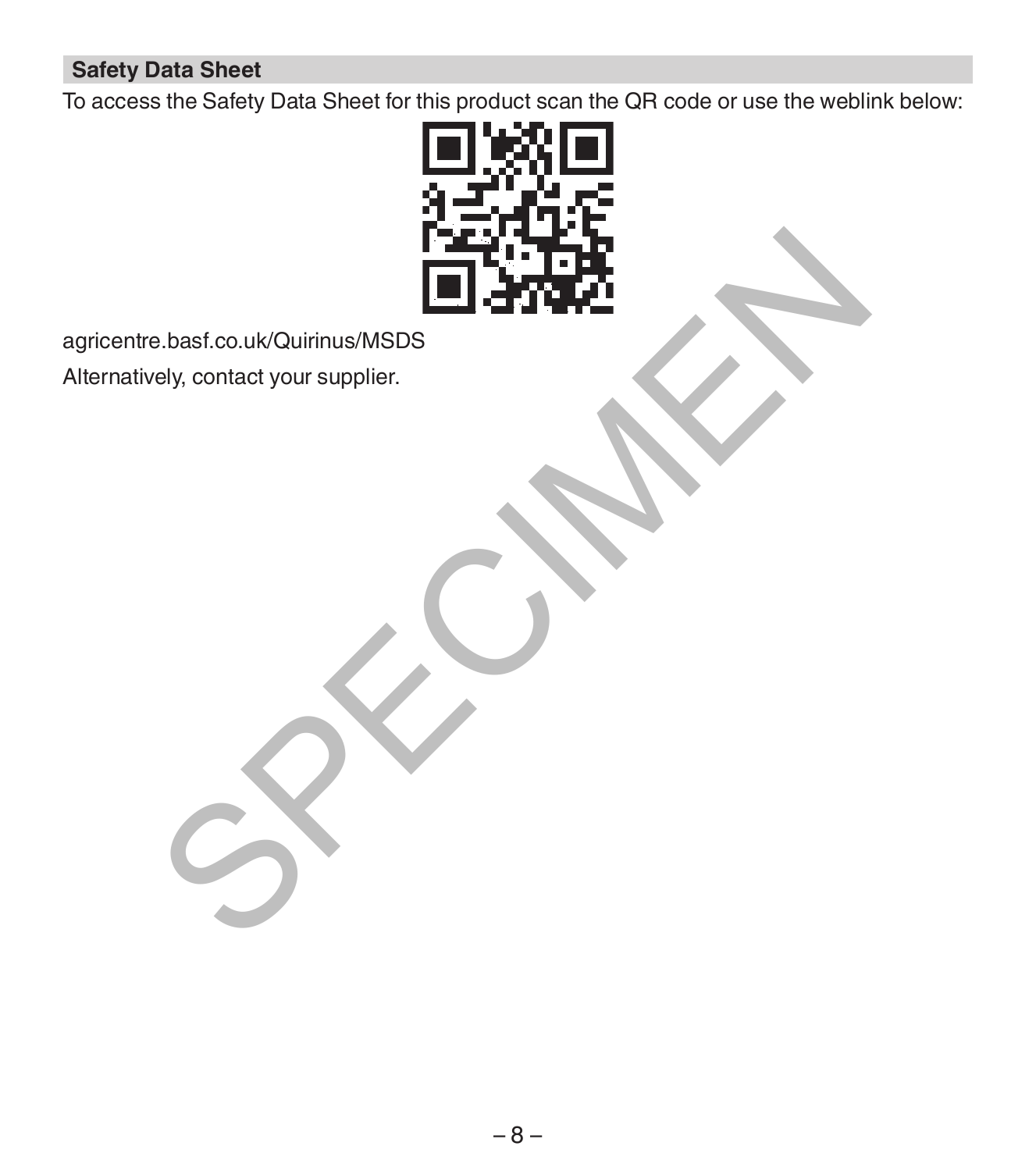# **Safety Data Sheet**

To access the Safety Data Sheet for this product scan the QR code or use the weblink below:



agricentre.basf.co.uk/Quirinus/MSDS

Alternatively, contact your supplier.